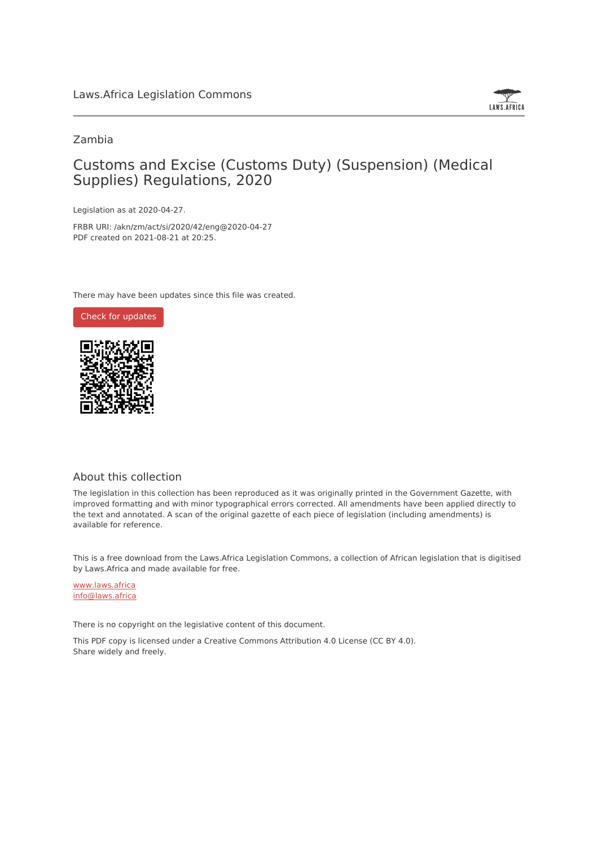

#### Zambia

## Customs and Excise (Customs Duty) (Suspension) (Medical Supplies) Regulations, 2020

Legislation as at 2020-04-27.

FRBR URI: /akn/zm/act/si/2020/42/eng@2020-04-27 PDF created on 2021-08-21 at 20:25.

There may have been updates since this file was created.



#### About this collection

The legislation in this collection has been reproduced as it was originally printed in the Government Gazette, with improved formatting and with minor typographical errors corrected. All amendments have been applied directly to the text and annotated. A scan of the original gazette of each piece of legislation (including amendments) is available for reference.

This is a free download from the Laws.Africa Legislation Commons, a collection of African legislation that is digitised by Laws.Africa and made available for free.

[www.laws.africa](https://www.laws.africa) [info@laws.africa](mailto:info@laws.africa)

There is no copyright on the legislative content of this document.

This PDF copy is licensed under a Creative Commons Attribution 4.0 License (CC BY 4.0). Share widely and freely.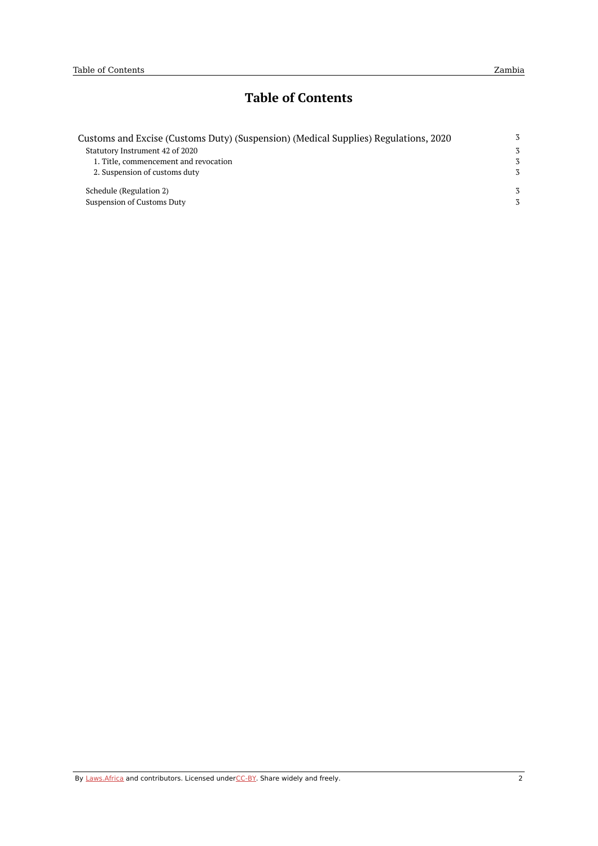## **Table of Contents**

| Customs and Excise (Customs Duty) (Suspension) (Medical Supplies) Regulations, 2020 |   |
|-------------------------------------------------------------------------------------|---|
| Statutory Instrument 42 of 2020                                                     | 3 |
| 1. Title, commencement and revocation                                               | 3 |
| 2. Suspension of customs duty                                                       | 3 |
| Schedule (Regulation 2)                                                             | 3 |
| Suspension of Customs Duty                                                          | 3 |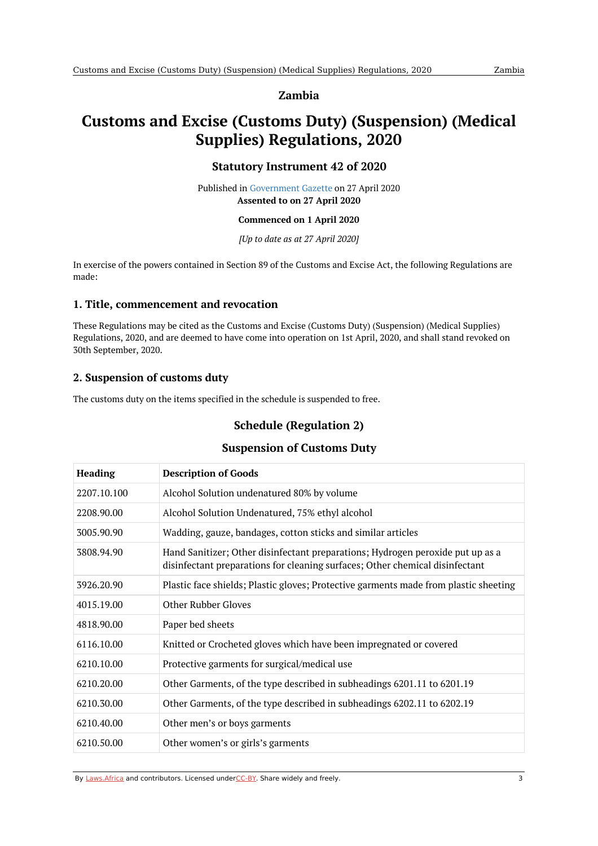#### **Zambia**

# <span id="page-2-1"></span><span id="page-2-0"></span>**Customs and Excise (Customs Duty) (Suspension) (Medical Supplies) Regulations, 2020**

#### **Statutory Instrument 42 of 2020**

Published in [Government](https://commons.laws.africa/akn/zm/act/si/2020/42/media/publication/zm-act-si-2020-42-publication-document.pdf) Gazette on 27 April 2020 **Assented to on 27 April 2020**

#### **Commenced on 1 April 2020**

*[Up to date as at 27 April 2020]*

In exercise of the powers contained in Section 89 of the Customs and Excise Act, the following Regulations are made:

#### <span id="page-2-2"></span>**1. Title, commencement and revocation**

These Regulations may be cited as the Customs and Excise (Customs Duty) (Suspension) (Medical Supplies) Regulations, 2020, and are deemed to have come into operation on 1st April, 2020, and shall stand revoked on 30th September, 2020.

#### <span id="page-2-3"></span>**2. Suspension of customs duty**

<span id="page-2-4"></span>The customs duty on the items specified in the schedule is suspended to free.

### **Schedule (Regulation 2)**

#### **Suspension of Customs Duty**

<span id="page-2-5"></span>

| <b>Heading</b> | <b>Description of Goods</b>                                                                                                                                    |
|----------------|----------------------------------------------------------------------------------------------------------------------------------------------------------------|
| 2207.10.100    | Alcohol Solution undenatured 80% by volume                                                                                                                     |
| 2208.90.00     | Alcohol Solution Undenatured, 75% ethyl alcohol                                                                                                                |
| 3005.90.90     | Wadding, gauze, bandages, cotton sticks and similar articles                                                                                                   |
| 3808.94.90     | Hand Sanitizer; Other disinfectant preparations; Hydrogen peroxide put up as a<br>disinfectant preparations for cleaning surfaces; Other chemical disinfectant |
| 3926.20.90     | Plastic face shields; Plastic gloves; Protective garments made from plastic sheeting                                                                           |
| 4015.19.00     | <b>Other Rubber Gloves</b>                                                                                                                                     |
| 4818.90.00     | Paper bed sheets                                                                                                                                               |
| 6116.10.00     | Knitted or Crocheted gloves which have been impregnated or covered                                                                                             |
| 6210.10.00     | Protective garments for surgical/medical use                                                                                                                   |
| 6210.20.00     | Other Garments, of the type described in subheadings 6201.11 to 6201.19                                                                                        |
| 6210.30.00     | Other Garments, of the type described in subheadings 6202.11 to 6202.19                                                                                        |
| 6210.40.00     | Other men's or boys garments                                                                                                                                   |
| 6210.50.00     | Other women's or girls's garments                                                                                                                              |

By [Laws.Africa](https://edit.laws.africa/widgets/pdf-attribution) and contributors. Licensed und[erCC-B](https://edit.laws.africa/widgets/pdf-cc-by)Y. Share widely and freely. 3